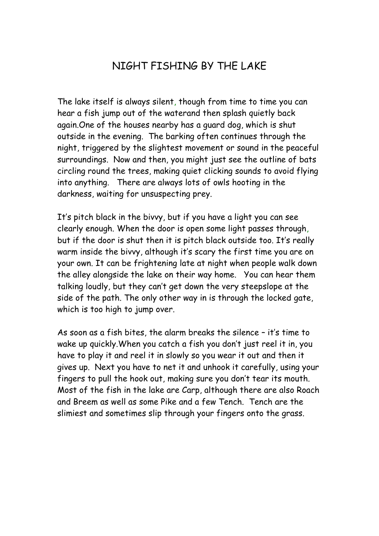## NIGHT FISHING BY THE LAKE

The lake itself is always silent, though from time to time you can hear a fish jump out of the waterand then splash quietly back again.One of the houses nearby has a guard dog, which is shut outside in the evening. The barking often continues through the night, triggered by the slightest movement or sound in the peaceful surroundings. Now and then, you might just see the outline of bats circling round the trees, making quiet clicking sounds to avoid flying into anything. There are always lots of owls hooting in the darkness, waiting for unsuspecting prey.

It's pitch black in the bivvy, but if you have a light you can see clearly enough. When the door is open some light passes through, but if the door is shut then it is pitch black outside too. It's really warm inside the bivvy, although it's scary the first time you are on your own. It can be frightening late at night when people walk down the alley alongside the lake on their way home. You can hear them talking loudly, but they can't get down the very steepslope at the side of the path. The only other way in is through the locked gate, which is too high to jump over.

As soon as a fish bites, the alarm breaks the silence – it's time to wake up quickly.When you catch a fish you don't just reel it in, you have to play it and reel it in slowly so you wear it out and then it gives up. Next you have to net it and unhook it carefully, using your fingers to pull the hook out, making sure you don't tear its mouth. Most of the fish in the lake are Carp, although there are also Roach and Breem as well as some Pike and a few Tench. Tench are the slimiest and sometimes slip through your fingers onto the grass.